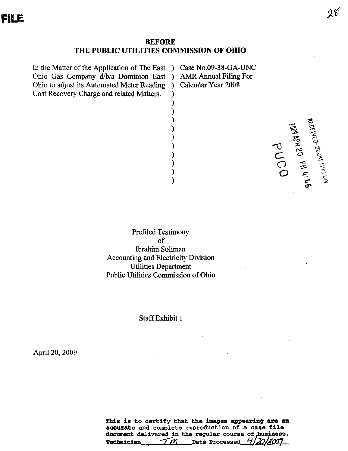### **BEFORE** THE PUBLIC UTILITIES COMMISSION OF OHIO

Y

In the Matter of the Application of The East ) Ohio Gas Company d/b/a Dominion East ) Ohio to adjust its Automated Meter Reading Cost Recovery Charge and related Matters.

Case No.09-38-GA-UNC **AMR Annual Filing For** Calendar Year 2008

OJNd as as 600 cm . Map of the part of the second with the second terms of the second terms of the second terms of the second terms of the second terms of the second terms of the second terms of the second terms of the sec

**Prefiled Testimony**  $of$ **Ibrahim Soliman Accounting and Electricity Division Utilities Department** Public Utilities Commission of Ohio

### **Staff Exhibit 1**

April 20, 2009

This is to certify that the images appearing are an accurate and complete reproduction of a case file document delivered in the regular course of business.  $TM$  Date Processed 412012009 Technician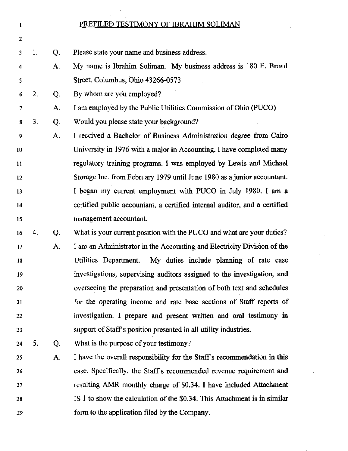### I

2

4

5

### PREFILED TESTIMONY OF IBRAHIM SOLIMAN

- 3 1. Q. Please state your name and business address.
	- A. My name is Ibrahim Soliman. My business address is 180 E. Broad Street, Columbus, Ohio 43266-0573
- 6 2. Q. By whom are you employed?
- 7 A. I am employed by the Public Utilities Commission of Ohio (PUCO)
- 8 3. Q. Would you please state your background?
- 9 10 11 12 13 14 15 A. I received a Bachelor of Business Administration degree from Cairo University in 1976 with a major in Accounting. I have completed many regulatory training programs. I was employed by Lewis and Michael Storage Inc. from February 1979 until June 1980 as a jimior accountant. I began my current employment with PUCO in July 1980. I am a certified public accountant, a certified internal auditor, and a certified management accountant.
- 16 17 18 19 20 21 22 23 4. Q. A. What is your current position with the PUCO and what are your duties? I am an Administrator m the Accounting and Electricity Division of the Utilities Department. My duties include planning of rate case investigations, supervising auditors assigned to the investigation, and overseeing the preparation and presentation of both text and schedules for the operating income and rate base sections of Staff reports of investigation. I prepare and present written and oral testimony in support of Staff's position presented in all utility industries.
- 24 5. Q. What is the purpose of your testimony?
- 25 26 27 28 29 A. I have the overall responsibility for the Staff's recommendation in this case. Specifically, the Staffs recommended revenue requirement and resulting AMR monthly charge of \$0.34. I have included Attachment IS 1 to show the calculation of the \$0.34. This Attachment is in similar form to the application filed by the Company.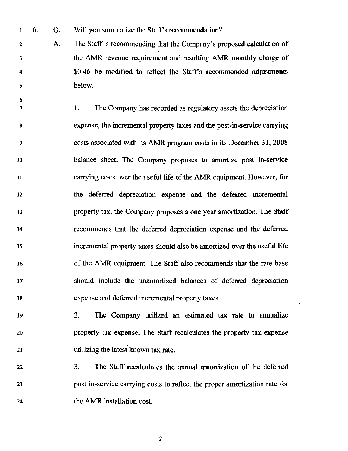1 6. Q. Will you summarize the Staff's recommendation?

6

2 A. The Staff is recommending that the Company's proposed calculation of 3 the AMR revenue requirement and resulting AMR monthly charge of 4  $\sim$  \$0.46 be modified to reflect the Staff's recommended adjustments 5 below.

1. The Company has recorded as regulatory assets the depreciation  $\tau$  $7 \cdot 7$  1. The Company has recorded as regulatory assets the dependence of  $\sim 7$ expense, the incremental property taxes and the post-in-service carrying 8 8 expense, the incremental property taxes and the post-in-service carrying 9  $\frac{1}{2}$  costs associated with its AMR program costs in its December 31, 2008  $\frac{1}{2}$  $10$  $\frac{1}{\sqrt{2}}$  balance sheet. The Company proposes to a mortize post in-service post in-service post in-service post in-service post in-service post in-service post in-service post in-service post in-service post in-service  $11$  $\sim$  carrying costs over the useful life of the  $\sim$  $12$  $12$  the deferred dependence and the deferred incremental the deferred incremental  $\alpha$ 13  $1, 1, 2, \ldots$  the Company proposes a one year amortization. 14 recommends that the deferred depreciation expense and the deferred 15 incremental property taxes should also be amortized over the useful life 16 of the AMR equipment. The Staff also recommends that the rate base 17 should include the unamortized balances of deferred depreciation 18 expense and deferred incremental property taxes.

19 2. The Company utilized an estimated tax rate to annualize 20 property tax expense. The Staff recalculates the property tax expense 21 utilizing the latest known tax rate.

22 3. The Staff recalculates the annual amortization of the deferred 23 post in-service carrying costs to reflect the proper amortization rate for 24 the AMR installation cost.

 $\overline{2}$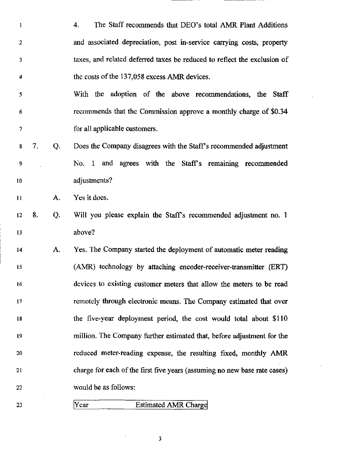4. The Staff recommends that DEO's total AMR Plant Additions  $\mathbf{1}$ and associated depreciation, post in-service carrying costs, property  $\overline{2}$  $\overline{\mathbf{3}}$ taxes, and related deferred taxes be reduced to reflect the exclusion of the costs of the 137,058 excess AMR devices.  $\boldsymbol{4}$ 

- $\overline{\mathbf{5}}$ With the adoption of the above recommendations, the Staff recommends that the Commission approve a monthly charge of \$0.34  $6\phantom{1}$ for all applicable customers.  $\overline{7}$
- 7. Q. Does the Company disagrees with the Staff's recommended adjustment 8 9 No. 1 and agrees with the Staff's remaining recommended adjustments? 10

11 A. Yes it does.

- 12 13 8. Q. Will you please explain the Staff's recommended adjustment no. 1 above?
- 14 15 16 17 18 19 20 21 22 A. Yes. The Company started the deployment of automatic meter reading (AMR) technology by attaching encoder-receiver-transmitter (ERT) devices to existing customer meters that allow the meters to be read remotely through electronic means. The Company estimated that over the five-year deployment period, the cost would total about \$110 million. The Company further estimated that, before adjustment for the reduced meter-reading expense, the resulting fixed, monthly AMR charge for each of the first five years (assuming no new base rate cases) would be as follows:
- 23

### Year Estimated AMR Charge

3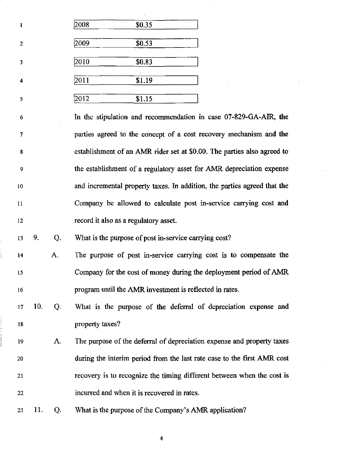| 1                       | 2008 | \$0.35 |  |
|-------------------------|------|--------|--|
| $\overline{2}$          | 2009 | \$0.53 |  |
| 3                       | 2010 | \$0.83 |  |
| $\overline{\mathbf{4}}$ | 2011 | \$1.19 |  |
| 5                       | 2012 | \$1.15 |  |

In the stipulation and recommendation in case 07-829-GA-AIR, the 6  $\overline{7}$ parties agreed to the concept of a cost recovery mechanism and the establishment of an AMR rider set at \$0.00. The parties also agreed to 8 the establishment of a regulatory asset for AMR depreciation expense 9 and incremental property taxes. In addition, the parties agreed that the 10 Company be allowed to calculate post in-service carrying cost and 11 record it also as a regulatory asset. 12

13 9. Q. What is the purpose of post in-service carrying cost?

- $\mathbf{A}$ . The purpose of post in-service carrying cost is to compensate the 14 Company for the cost of money during the deployment period of AMR 15 program until the AMR investment is reflected in rates. 16
- 17 10. What is the purpose of the deferral of depreciation expense and Q. property taxes? 18
- 19 A. The purpose of the deferral of depreciation expense and property taxes during the interim period from the last rate case to the first AMR cost 20 21 recovery is to recognize the timing different between when the cost is incurred and when it is recovered in rates. 22
- 23 11. Q. What is the purpose of the Company's AMR application?

4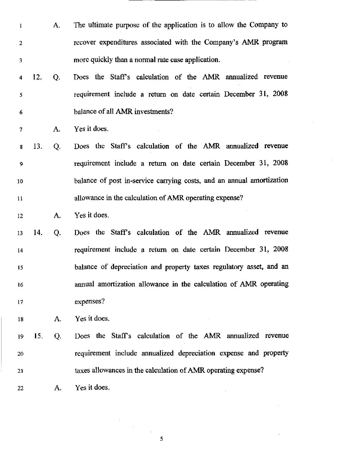- 1 A. The ultimate purpose of the application is to allow the Company to 2 recover expenditures associated with the Company's AMR program 3 more quickly than a normal rate case application.
- 4 12. Q. Does the Staffs calculation of the AMR annualized revenue 5 requirement include a return on date certain December 31, 2008 6 balance of all AMR investments?

7 A. Yes it does.

8 13. Q. Does the Staffs calculation of the AMR annualized revenue 9 requirement include a return on date certain December 31, 2008 10 balance of post in-service carrying costs, and an annual amortization 11 allowance in the calculation of AMR operating expense?

12 A. Yes it does.

13 14. Q. Does the Staffs calculation of the AMR annualized revenue 14 requirement include a return on date certain December 31, 2008 15 balance of depreciation and property taxes regulatory asset, and an 16 amiual amortization allowance in the calculation of AMR operating 17 expenses?

18 A. Yes it does.

19 15. Q. Does the Staffs calculation of the AMR annualized revenue 20 requirement include annualized depreciation expense and property 21 taxes allowances in the calculation of AMR operating expense?

22 A. Yes it does.

5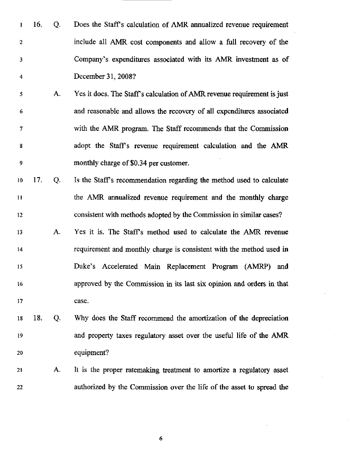- 1 16. Q. Does the Staffs calculation of AMR annualized revenue requirement 2 include all AMR cost components and allow a full recovery of the 3 Company's expenditures associated with its AMR investment as of 4 December 31, 2008?
- 5 A. Yes it does. The Staffs calculation of AMR revenue requirement is just 6 and reasonable and allows the recovery of all expenditures associated 7 with the AMR program. The Staff recommends that the Commission 8 adopt the Staffs revenue requirement calculation and the AMR 9 monthly charge of \$0.34 per customer.
- 10 17. Q. Is the Staffs recommendation regarding the method used to calculate 11 the AMR annualized revenue requirement and the monthly charge 12 consistent with methods adopted by the Commission in similar cases?
- 13 A. Yes it is. The Staffs method used to calculate the AMR revenue 14 requirement and monthly charge is consistent with the method used in 15 Duke's Accelerated Main Replacement Program (AMRP) and 16 approved by the Commission in its last six opinion and orders in that 17 case.
- 18 18. Q. Why does the Staff recommend the amortization of the depreciation 19 and property taxes regulatory asset over the useful life of the AMR 20 equipment?
- 21 A. It is the proper ratemaking treatment to amortize a regulatory asset 22 authorized by the Commission over the life of the asset to spread the

 $\pmb{6}$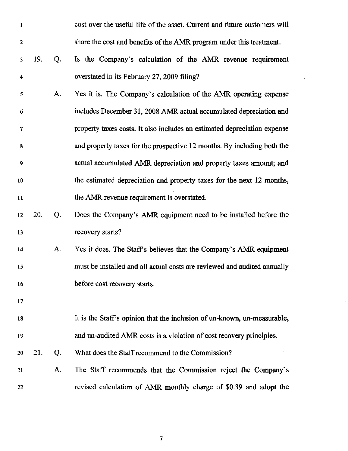| $\mathbf{1}$            |     |    | cost over the useful life of the asset. Current and future customers will |
|-------------------------|-----|----|---------------------------------------------------------------------------|
| $\mathbf{2}$            |     |    | share the cost and benefits of the AMR program under this treatment.      |
| 3                       | 19. | Q. | Is the Company's calculation of the AMR revenue requirement               |
| $\overline{\mathbf{4}}$ |     |    | overstated in its February 27, 2009 filing?                               |
| 5                       |     | А. | Yes it is. The Company's calculation of the AMR operating expense         |
| 6                       |     |    | includes December 31, 2008 AMR actual accumulated depreciation and        |
| 7                       |     |    | property taxes costs. It also includes an estimated depreciation expense  |
| 8                       |     |    | and property taxes for the prospective 12 months. By including both the   |
| 9                       |     |    | actual accumulated AMR depreciation and property taxes amount; and        |
| 10                      |     |    | the estimated depreciation and property taxes for the next 12 months,     |
| 11                      |     |    | the AMR revenue requirement is overstated.                                |
| 12                      | 20. | Q. | Does the Company's AMR equipment need to be installed before the          |
| 13                      |     |    | recovery starts?                                                          |
| 14                      |     | A. | Yes it does. The Staff's believes that the Company's AMR equipment        |
| 15                      |     |    | must be installed and all actual costs are reviewed and audited annually  |
| 16                      |     |    | before cost recovery starts.                                              |
| 17                      |     |    |                                                                           |
| 18                      |     |    | It is the Staff's opinion that the inclusion of un-known, un-measurable,  |
| 19                      |     |    | and un-audited AMR costs is a violation of cost recovery principles.      |
| 20                      | 21. | Q. | What does the Staff recommend to the Commission?                          |
| 21                      |     | А. | The Staff recommends that the Commission reject the Company's             |
| 22                      |     |    | revised calculation of AMR monthly charge of \$0.39 and adopt the         |

 $\ddot{\phantom{a}}$ 

 $\overline{7}$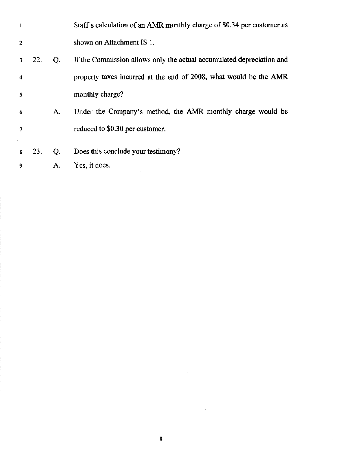| $\mathbf{1}$   |     |    | Staff's calculation of an AMR monthly charge of \$0.34 per customer as |
|----------------|-----|----|------------------------------------------------------------------------|
| $\overline{2}$ |     |    | shown on Attachment IS 1.                                              |
| -3.            | 22. | Q. | If the Commission allows only the actual accumulated depreciation and  |
| $\overline{4}$ |     |    | property taxes incurred at the end of 2008, what would be the AMR      |
| 5              |     |    | monthly charge?                                                        |
| -6             |     | А. | Under the Company's method, the AMR monthly charge would be            |
| $\overline{7}$ |     |    | reduced to \$0.30 per customer.                                        |
|                |     |    |                                                                        |
| 8              | 23. | Q. | Does this conclude your testimony?                                     |
| 9              |     | А. | Yes, it does.                                                          |

 $\pmb{8}$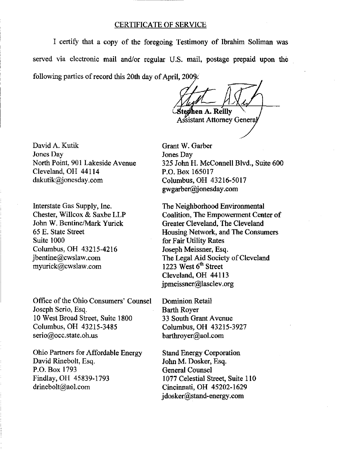### CERTIFICATE OF SERVICE

I certify that a copy of the foregoing Testimony of Ibrahim Soliman was served via electronic mail and/or regular U.S. mail, postage prepaid upon the following parties of record this 20th day of April, 2009.

[\tefihen A](file:///tefihen). Reilly Assistant Attorney General

David A. Kutik Jones Day North Point, 901 Lakeside Avenue Cleveland, OH 44114 [dakutik@jonesday.com](mailto:dakutik@jonesday.com) 

Interstate Gas Supply, Inc. Chester, Willcox & Saxbe LLP John W. Bentine/Mark Yurick 65 E. State Street Suite 1000 Columbus, OH 43215-4216 [jbentine@cwslaw.com](mailto:jbentine@cwslaw.com)  [myurick@cwslaw.com](mailto:myurick@cwslaw.com) 

Office of the Ohio Consumers' Counsel Joseph Serio, Esq. 10 West Broad Street, Suite 1800 Columbus, OH 43215-3485 [serio@occ.state.oh.us](mailto:serio@occ.state.oh.us) 

Ohio Partners for Affordable Energy David Rinebolt, Esq. P.O. Box 1793 Findlay, OH 45839-1793 [drinebolt@aol.com](mailto:drinebolt@aol.com) 

Grant W. Garber Jones Day 325 John H. McConnell Blvd., Suite 600 P.O. Box 165017 Columbus, OH 43216-5017 gwgarber@j [onesday.com](http://onesday.com)

The Neighborhood Environmental Coalition, The Empowerment Center of Greater Cleveland, The Cleveland Housing Network, and The Consumers for Fair Utility Rates Joseph Meissner, Esq. The Legal Aid Society of Cleveland 1223 West  $6<sup>th</sup>$  Street Cleveland, OH 44113 [jpmeissner@lasclev.org](mailto:jpmeissner@lasclev.org) 

Dominion Retail Barth Royer 33 South Grant Avenue Columbus, OH 43215-3927 [barthroyer@aol.com](mailto:barthroyer@aol.com) 

Stand Energy Corporation John M. Dosker, Esq. General Counsel 1077 Celestial Street, Suite 110 Cincinnati, OH 45202-1629 j [dosker@stand-energy.com](mailto:dosker@stand-energy.com)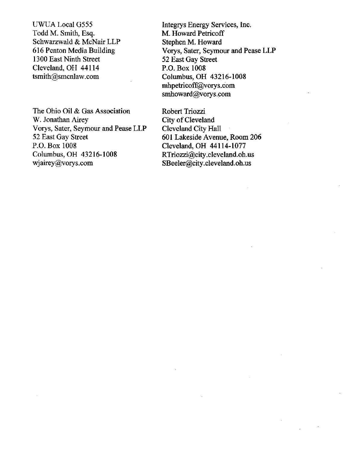UWUA Local G555 Todd M. Smith, Esq. Schwarzwald & McNair LLP 616 Penton Media Building 1300 East Ninth Street Cleveland, OH 44114 tsmith@smcnlaw.com

The Ohio Oil & Gas Association W. Jonathan Airey Vorys, Sater, Seymour and Pease LLP 52 East Gay Street P.O. Box 1008 Columbus, OH 43216-1008 [wjairey@vorys.com](mailto:wjairey@vorys.com) 

Integrys Energy Services, Inc. M. Howard Petricoff Stephen M. Howard Vorys, Sater, Seymour and Pease LLP 52 East Gay Street P.O. Box 1008 Columbus, OH 43216-1008 [mhpetricoff@vorys.com](mailto:mhpetricoff@vorys.com)  [smhoward@vorys.com](mailto:smhoward@vorys.com) 

Robert Triozzi City of Cleveland Cleveland City Hall 601 Lakeside Avenue, Room 206 Cleveland, OH 44114-1077 [RTriozzi@city.cleveland.oh.us](mailto:RTriozzi@city.cleveland.oh.us)  [SBeeler@city.cleveland.oh.us](mailto:SBeeler@city.cleveland.oh.us)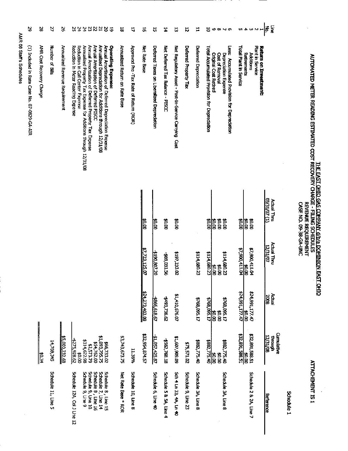|                                                                  |                                                    |                                                       |                                                            |                                                                                                         | AMR 08 Staff's Schedules                                                                                                                                                       |                                   |
|------------------------------------------------------------------|----------------------------------------------------|-------------------------------------------------------|------------------------------------------------------------|---------------------------------------------------------------------------------------------------------|--------------------------------------------------------------------------------------------------------------------------------------------------------------------------------|-----------------------------------|
|                                                                  |                                                    |                                                       |                                                            |                                                                                                         | (1) Included in Rate Case No. 07-0829-GA-AIR                                                                                                                                   | 2                                 |
|                                                                  | ີ່∥ີ≎<br>∦                                         |                                                       |                                                            |                                                                                                         | AMR Cost Recovery Charge                                                                                                                                                       | s,                                |
| Schedule 11, Line 5                                              | 14,769,345                                         |                                                       |                                                            |                                                                                                         | Number of Bills                                                                                                                                                                | 2                                 |
|                                                                  | <b>\$5,000,232.68</b>                              |                                                       |                                                            |                                                                                                         | Annalized Revenue Requirement                                                                                                                                                  | ≳                                 |
| Schedule 12A, Col J Line 12                                      | \$275,928.62<br>3<br>8                             |                                                       |                                                            |                                                                                                         | Reduction in Meter Reading Expense<br>Reduction in Call Center Expense                                                                                                         | 24<br>25                          |
|                                                                  | \$314,622.98                                       |                                                       |                                                            |                                                                                                         | Annualized Property Tax Expense for Additions through 12/31/08                                                                                                                 | 24                                |
| Schedule 8, Line 16<br>Schedule 9, Line 10<br>Schedule 9, Line 9 | 154,762.00<br>\$2,573.79                           |                                                       |                                                            |                                                                                                         | Annual Amortization of Deferred Property Tax Expense<br>Annual Amortization of Deferred PISCC                                                                                  | <b>22</b>                         |
| Schedule 8, Line 15<br>Schedule 7, Line 14                       | \$1,093,795.75                                     |                                                       |                                                            |                                                                                                         | Annualized Depredation for Additions through 12/31/08                                                                                                                          | $\overline{a}$                    |
|                                                                  | \$66,733.02                                        |                                                       |                                                            |                                                                                                         | Annual Amortization of Deferred Depreciation Expense<br><b>Operating Expense:</b>                                                                                              | $\approx$<br>$\overline{\bullet}$ |
| Net Rate Base * ROR                                              | \$3,743,673.75                                     |                                                       |                                                            |                                                                                                         | Annualized Return on Rate Base                                                                                                                                                 | ä                                 |
| Schedule 10, Line 8                                              | 11.36%                                             |                                                       |                                                            |                                                                                                         | Approved Pre -Tax Rate of Return (ROR)                                                                                                                                         | 4                                 |
|                                                                  | \$32,954,874.57                                    | \$24,273,403.08                                       | <u>\$7,723,125.07</u>                                      | <b>\$0.00</b>                                                                                           | Net Rate Base                                                                                                                                                                  | $\overline{5}$                    |
| Schedule 6, Line 40                                              | \$1,057,425.87                                     | 5966,618.67                                           | 2190.807.20                                                | ह<br>बा                                                                                                 | Deferred Taxes on Liberalized Depreclation                                                                                                                                     | ĉ,                                |
| Schedule 5 & 5A, Line 4                                          | \$562,768.18                                       | 4493,736.62                                           | 99,031.56                                                  | po.od                                                                                                   | Net Deferred Tax Balance - PISCC                                                                                                                                               | Ħ                                 |
| Sch 4 Ln 33, 4A, Ln 40                                           | 60'605'109'1\$                                     | \$1,410,676.07                                        | \$197,233.02                                               | 00°0\$                                                                                                  | Net Regulatory Asset - Post-In-Service Carrying Cost                                                                                                                           | 员                                 |
| Schedule 9, Line 23                                              | \$75,571.02                                        |                                                       |                                                            |                                                                                                         | Deferred Property Tax                                                                                                                                                          | 5                                 |
| Schedule 3A, Line 8                                              | \$882,775.40                                       | \$768,095.17                                          | \$114,680.23                                               |                                                                                                         | Deferred Depreciation                                                                                                                                                          | ⊨                                 |
| Schedule 3A, Line 8                                              | \$882,775.40<br>\$82,775.40<br>35<br>B<br> ≴<br> a | $\frac{40.00}{5768,095.17}$<br>\$768,095.17<br>3<br>8 | $\frac{$0.00}{114,680.23}$<br>\$114 680.23<br><b>80.00</b> | iss<br>BS<br>00'0\$<br>00.00                                                                            | <b>SSB</b><br>Total Accumulated Provision for Depredation<br><b>Criginal Cost Retired</b><br>Cost of Removal<br>Depreciation Expense<br>Accumulated Provision for Depreciation | ້ຣ<br>$\circ \circ \sim \circ$    |
|                                                                  | <b>132,891,588.51</b><br>132,891,588.51            | 17.14,991,177.47                                      | $\frac{160}{111}$ $\frac{111}{100}$ $\frac{111}{100}$      | $\frac{3}{2}$                                                                                           | <b>Total Plant In Service</b>                                                                                                                                                  |                                   |
| Schedule 2 & 24, Line 7                                          | 122,891,588.51                                     | 424,991,177.47<br>¥ן<br>Ie                            | \$7,900,411.04                                             | <b>80.00</b><br>\$0.00                                                                                  | Plant in Service<br>Return on Investment:<br>Rethements<br><b>Additions</b>                                                                                                    | <b>549978</b>                     |
| <b>Reference</b>                                                 | <b>Cumulative</b><br><b>12/31/08</b><br>through    | Actual<br><b>2008</b>                                 | Actual Thru<br>12/31/07                                    | $(1)$ 20/12/20<br>Actual Thru                                                                           |                                                                                                                                                                                | Ş<br> ξ                           |
| Schedule 1                                                       |                                                    |                                                       |                                                            |                                                                                                         |                                                                                                                                                                                |                                   |
| <b>ATACHEMENT IS 1</b>                                           |                                                    |                                                       |                                                            | THE EAST OHIO GAS COMPANY d/b/a DOMINION EAST OHIO<br><b>REVENUE REQUIRENT</b><br>CASE NO. 09-38-GA-UNC | AUTOMATED METER READING ESTIMATED COST RECOVERY CHARGE - FILING SCHEDULES                                                                                                      |                                   |

Ŷ,

 $\frac{1}{2}$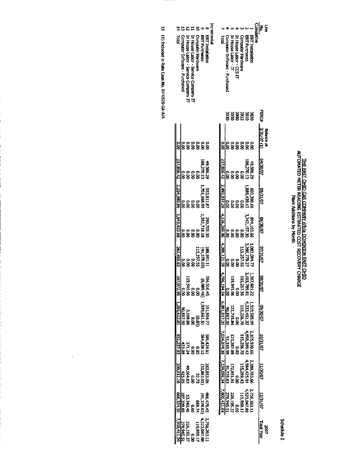# T<u>HE EAST OHIO GAS COMPANY dIDAR DOMINION EAST OHIO</u><br>AUTOMATED METER READING ESTIMATED COST RECOVERY CHARGE<br>Plant Addit Additions by Month

 $\ddot{\phantom{a}}$ 

Schedule 2

| 윤                       | Computer Software - Purchased | house Labor - Service Company II | In House Labor - Service Company IT | cmputer Hardware           | <b>ERT Purchases</b>      | <b>ERT Installation</b> | incremental | labi                                                                     | Computer Software - Purchased | In House Labor - IT                   | n House Labor - CCS IT | Computer Hardware | <b>ERT Purchases</b>                      | ERT Installation |                 | ş                 |
|-------------------------|-------------------------------|----------------------------------|-------------------------------------|----------------------------|---------------------------|-------------------------|-------------|--------------------------------------------------------------------------|-------------------------------|---------------------------------------|------------------------|-------------------|-------------------------------------------|------------------|-----------------|-------------------|
|                         |                               |                                  |                                     |                            |                           |                         |             |                                                                          |                               |                                       |                        | 8888888<br>888558 |                                           |                  | FERC*           |                   |
|                         |                               |                                  |                                     |                            | 000000<br>888888          |                         |             |                                                                          | ទី<br>ខ                       |                                       |                        | 888<br>888        |                                           | 5<br>88          | 3/31/07 (1)     | <b>Balance at</b> |
| 37858.42                |                               | 0000<br>8888                     |                                     |                            | 188,270.1                 | 49,586.29               |             | 237.856.42                                                               | e<br>B                        |                                       | e e e<br>888           |                   | 188.270.1                                 | 49.586.20        | 04/30/07        |                   |
| 254,980,86              |                               | ၣၣၣၣ<br>႙႙႙႙                     |                                     |                            | 1,701,168.99              | 553,811.87              |             | 2,492,837.28                                                             |                               | ខ្លួន                                 | p.oc                   | ន្ត្              | 1.939.439.1                               | 603,398.1        | 10/16/50        |                   |
| 843.423.68              |                               | 888<br>888                       |                                     | ្តី                        | 1,357,718.1               | 290,705.51              |             | 4,136,260.96                                                             | ខ្ល                           | o.oo                                  | o.oo                   | ្តី               | 242,157.3                                 | 694,103.6        | <b>40.02/90</b> |                   |
| 262 360.63              |                               | o o<br>R                         | ខ្ច                                 |                            | (41,378.03)<br>115,257.55 | 1.08,981.1              |             | 4,399,121.59                                                             | ទ<br>ទ                        |                                       | Ξ                      | 115.257.5         | 3,200,779.2                               | <b>LASO ESO,</b> | 07/31/07        |                   |
|                         | $\frac{1}{2}$                 |                                  |                                     | 96'515'611<br>00'0<br>00'0 | $(9 + 686'9)$             | 284,516.45              |             |                                                                          | o.o                           |                                       | 96'595'611<br>00'0     | 115,257.55        |                                           | 367,601.22       | 08/31/07        |                   |
| 397,072.95 1,285,622.81 |                               | 3,169.88<br>08.887.50            |                                     | ទី<br>ទី១                  | 1,039,661.51              | 151,904.7               |             |                                                                          | 067.50                        | 122,715.84                            | ្ត<br>ក្ន              |                   | 0219,505.99<br>4,233,451.32<br>115,256.70 |                  | <b>40/06/60</b> |                   |
| 022,257.03              | 423.08                        |                                  | 921.24<br>00.0                      | n.or                       | 366,424.61<br>366,424.61  |                         |             |                                                                          |                               | 0.00<br>87.287.08<br><u>91,310.58</u> |                        | 115,256.7         | 4,598,289.41                              | 2,105,930.60     | 10/16/01        |                   |
| 200,012.16              | 425.05                        |                                  | <b>69.564.83</b><br>00.0            | 27.75                      | I23,863.51                | 183,853.00              |             | $796,194.54 - 6,081,817.35 - 7,034,074.38 - 7,234,086.54 - 7,900,411.04$ | 91,735.63                     | 172,851.91                            | e<br>S                 | 115,289.43        | 4 564,425.91                              | 2 289,783.64     | <b>LU/30/07</b> |                   |
|                         |                               | 53,343.46<br>187,209.88          | ទី<br>ខ                             | <b>PZ'699</b>              | (41,378.03)               | 466,479.45              |             |                                                                          | 278.945.51                    | 226.195.37                            | o.oo                   | 115,959.17        | 4,523,047.88                              | 2,756.263.11     | 12/31/07        |                   |
| 066.324.50 7.900,411.0  | 278,945.51                    | 226,195.37                       | ှ<br>ဒ                              | 115,959.17                 | 4,523,047.88              | 2,756,263.1             |             |                                                                          |                               |                                       |                        |                   |                                           |                  | Total Year      | ຮູ້               |

15 (1) Included in Rate Case No. 07-0829-GA-AIR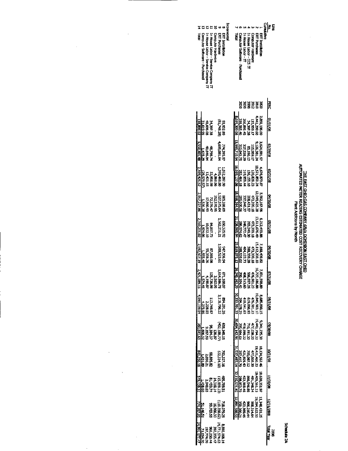## THE EAST CHEO GGG COMPANY (ADAR DOMINICAN EAST CHIO<br>AUTOMATED NETER READING ESTIMATED COST RECOVERY CHARGE<br>Pent Actritions by Month

Schenlag 2A

|                                    | 딣             | 2015100                      | 80/67/20               | 80/15/20               | 30/06/10               | 80/16/50              | 80/02/08                     | <b>BLAB</b>                                                                  | <b>18431/08</b>                        | 80/02/50                                   | <b>BOJTEVOT</b>                   | 80/06/11                              | 900Z/IS/27                             | <b>Local Year</b>        |
|------------------------------------|---------------|------------------------------|------------------------|------------------------|------------------------|-----------------------|------------------------------|------------------------------------------------------------------------------|----------------------------------------|--------------------------------------------|-----------------------------------|---------------------------------------|----------------------------------------|--------------------------|
| cia<br>Silentia<br>Si              |               |                              |                        |                        |                        |                       |                              |                                                                              |                                        |                                            |                                   |                                       |                                        |                          |
| <b>ERT Installation</b>            |               | 0'961'058'                   | 3,624,591.9            | 1,676,879.8            | 5,562,167.96           | 6,212,493.88          | 7,150,490.32                 |                                                                              |                                        | <b>KSCCTRS</b>                             | <b>10,134,552.4</b>               | 10,630,351.97                         |                                        |                          |
| <b>ERT Purchases</b>               | <b>288288</b> | <b>141.299.6</b>             | 126,381.2              | 21787.27               | 12,049,425.21          | 13,611,676.4          | <b>15,112,200.1</b>          | ្មរដ្ឋ<br>មិន្ត្រី មិន្តីខ្មែរ<br><b>9.28888825</b><br>2012:08<br>2012:08882 | 8,685,890.15<br>19,845,983.10          | 19443,794.33                               | 421,460.2                         | 19405,561.13                          | 11,348,431.25<br>19,294,622.51         |                          |
| Congxiter Hardware                 |               | 115,959.1                    | 115,959.1              | 120,826.23             | 473,399.11             | 473,399.18            | 473,399.18                   |                                                                              |                                        | 47,038.20                                  | 77,038.20                         | <b>491,346.1</b>                      |                                        |                          |
| <b>House Labor - CCS TT</b>        |               |                              | 83,196.12              | <b>136, 155. 1</b>     | 208-431.52             | <b>X-94-49-30</b>     | <b>380,330,26</b>            |                                                                              |                                        |                                            | <b>17,000,000</b>                 |                                       |                                        |                          |
| House Labor TT                     |               | 34,891.4.<br>P. R. R.        | 202,230.29             | 19,959.4               | 337,940.32             | 146,7724              | 404,122.73                   |                                                                              | 476,911.23<br>619,816.93<br>410,541.63 |                                            | 421,929.43                        |                                       |                                        |                          |
| Computer Software - Purchased      | ã             | 310,565.46                   | <b>212 OA3 75</b>      | 283, 464, 18           | <b>285,000.58</b>      | <b>196.974 £2</b>     | 288,530.02                   |                                                                              |                                        | 716, 191.30<br>419, 899.22<br>295, 894.61  | <b>07,415.70</b>                  | 866,546.66<br>43,969.46<br>298,853.70 | 508,314.64<br>423,580.44<br>350,000.21 |                          |
| ទី                                 |               | 80.99,309.06                 | 13,569,710.54          | 16,059,137.06          | 18,916,36.92           | 21,226,565.94         | 23,819,073.13                | 26,24t<br>52.29                                                              | 30,333,501.33 30,694,142.96            |                                            | 31,537,493.14                     | 32,116,631.46                         | 12,891,586.51                          |                          |
| Indirected                         |               |                              |                        |                        |                        |                       |                              |                                                                              |                                        |                                            |                                   |                                       |                                        |                          |
| <b>ERT Installation</b>            |               | 03.92.89                     | 74,395,97              | 1,052,287.90           | 035,288.0              | 19, 25, 92            | <b>PC 966'ZI6</b>            |                                                                              | 3,118,796.22<br>3,118,796.22           |                                            | 793,227.16                        |                                       |                                        | 8,592,168.14             |
| <b>ERT Purchases</b>               |               | 182.947.19)                  | 4,685,081.6            | 1,395,469.01           | 527,575.0              | 122,251,21            | 1,500,523.6                  | ទ្ទិទ្ធ                                                                      |                                        | 655,345.15<br>(402,138.77)                 | 22,334.10                         |                                       | 718,079.28<br>25,079.28                | 11,771,574.63            |
| <b>Conputer Hardware</b>           |               |                              |                        | 4,969.06               | 52.570.9               |                       |                              |                                                                              |                                        |                                            |                                   |                                       |                                        |                          |
| h House Labor - Service Company IT |               |                              |                        | 52,958.98<br>12,421.15 | 12,276.47<br>17,360.93 |                       | 86'080'49                    | N<br>1188.07<br>1188.08.08<br>1198.08.08<br>11974.41                         |                                        |                                            |                                   |                                       | 16,966.30<br>99,703.58                 | 392,355.47<br>966,250.44 |
| House Labor - Service Company IT   |               | 34,397.38<br>85.799.08       | 48,798.74<br>40,646.84 |                        |                        | 84,817.73<br>0,832.10 | 5.JJJA<br>20.JA              |                                                                              |                                        |                                            |                                   |                                       |                                        | 197,774.01               |
| Computer Software - Purchased      |               | 31.619.95                    | 1.178.29               | 28,579.57              | 1,536.38               | 1,974.06              | 1,555.40                     |                                                                              | 113,749.67<br>2,228.63<br>- 1,273.86   | 72.97<br>25.732.59<br>2.732.22<br>2.606.32 | 58,895.82<br>1.030.21<br>1.431.09 |                                       | 51,146.51                              | 71,054.70                |
| g                                  |               | $\frac{138,802}{20,868,611}$ | 5,550,401.48           | 2,489,426,52           | 2,857,227.66           | 2,310,201.02          | $\frac{2.592,507.19}{2.421}$ | 91660'                                                                       | 1,093,399.04                           | 360,641.63                                 | 843,350.18                        | 579,138.32                            |                                        | 74,957.05 24,991,177.47  |

579, 138.32

74,957.05 24,991,177.47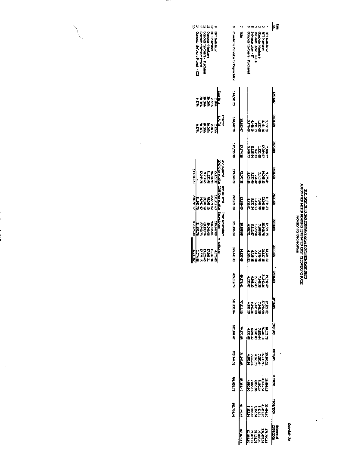### THE EXEMPLES AS CONFANY JURIS DOMINION EAST ONE.<br>AUTOMATED NETER READING ESTIMATED COST RECOVERY CHARGE.<br>AUTOMATED NETER READING ESTANDING CORPORATION

 $\bar{\gamma}$ 

l,

 $\frac{1}{2}$ 

At eluberte?

 $\frac{1}{2}$  ,  $\frac{1}{2}$ 

 $\hat{\mathbf{r}}$ 

| Computer Software - Purchases<br><b>ERT Industriation</b><br>Computer Software Project<br><b>FAT Purchases</b><br>Computer Software Protect - CCS<br>computer Hardware | Cunsistive Provision for Depreciation | Total            | <b>ERT Indalkidor</b><br>TI 200-YOUR DRAWN<br>Conputer Hardware<br><b>BYT Purchases</b><br>Computer Software - Purchassed<br>in House Labor - IT | 医复                             |
|------------------------------------------------------------------------------------------------------------------------------------------------------------------------|---------------------------------------|------------------|--------------------------------------------------------------------------------------------------------------------------------------------------|--------------------------------|
| Dept Rate<br>្ទ<br>ភូមិនិង<br>ទីក្នុងនិង<br>Yese i                                                                                                                     | 114,680.29                            |                  |                                                                                                                                                  | <b>VOLKOL</b>                  |
| Effective<br>11/1/08<br>ង<br>ភូមិដូច<br>រូបដូច្នេះ<br>2.22%                                                                                                            | 140,482.70                            | 25,802.47        | 5828888<br>1920<br>1920<br>1920                                                                                                                  | <b>ROVIE 700</b>               |
|                                                                                                                                                                        | 177,656.99                            | <b>SZ174.29</b>  | 7,188.7<br>1,264.8<br>1,264.8<br>5,125.44<br>5.200.7                                                                                             | ಣ/67 ದ                         |
| Accumulation<br>1007 Depreciation<br>114,680.23<br>56,056.99<br>11,537.96<br>12,743.26<br>12,743.26<br>35.127.37                                                       | 219,641.29                            | 12,001,30        | 922<br>1923 - 522<br>1923 - 622<br>1924                                                                                                          | <b>ROALCED</b>                 |
| <b>Countilisted</b><br><b>1008 Depredation Depredation</b><br>1111282<br>12028882<br>1202888282<br>12038828282<br>12038282                                             | 272,920.25                            | 33256.00         | <b>7295</b><br>88672222<br>8867222<br>886222<br>10.94                                                                                            | <b>BO/OF AO</b>                |
| Total Accumulated<br>DP 522.38<br>408,535.61<br>89,546.06<br>87,640.73<br>-31,102.76<br>-31,102.76<br>196,847.00                                                       | <b>PE 90TTEE</b>                      | 58,185.95        | 12,321.45<br>25,748.75<br>48783<br>866291<br>666882<br><b>HAALE</b>                                                                              | <b>BUTE</b>                    |
| <b>Amortization</b><br>186493<br>11,030.46<br>17,900.21<br>17,520.45<br>-2,074,55<br>-2,074,55<br>A,370.OK                                                             | <b>395,443.23</b>                     | 64,337.09        | 1420<br>7888 2138<br>7888 388<br>4808 39<br>4808 30                                                                                              | 80/0E/90                       |
|                                                                                                                                                                        | 12010.74                              | 9,576.41         | ឆ្នាំ វិបុត្ត<br>ស្រុក អ្នកនិង<br>ស្រុក អ្នកនាំ<br>ស្រុក អ្នកនាំ                                                                                 | Ş<br>छाट                       |
|                                                                                                                                                                        | <b>H2,930.6A</b>                      | 77.911.10        | 1122888<br>125488888<br>125488888                                                                                                                | <b>BOVEF/BO</b>                |
|                                                                                                                                                                        | 622,101.67                            | 79,170.83        | 18,526.71<br>7,795.84<br>7,796.82<br>4,933.08<br>4,933.08                                                                                        | 80/06/00                       |
|                                                                                                                                                                        | 703,244.33                            | 81,142.65        |                                                                                                                                                  | 10/22/02                       |
|                                                                                                                                                                        | 791,625.75                            | 98,381.42        | 19466.15<br>41186.16<br>41186.16<br>1980.90<br>1980.90                                                                                           | 80/02/TT                       |
|                                                                                                                                                                        | 882,775.40                            | <b>21,149.FS</b> | 2023<br>02023<br>02023<br>02023<br>02033                                                                                                         | 2002/1008                      |
|                                                                                                                                                                        |                                       | 768,095.17       | 11,719.63<br>78,008.71<br>78,008.71<br>78,008.99<br>50,008.99<br>50,008.99                                                                       | <b>Falance at</b><br>2/31/2008 |

 $\mathbb{R}^2$ 

i.

l,

 $\hat{\mathcal{A}}$ 

 $\bar{\gamma}$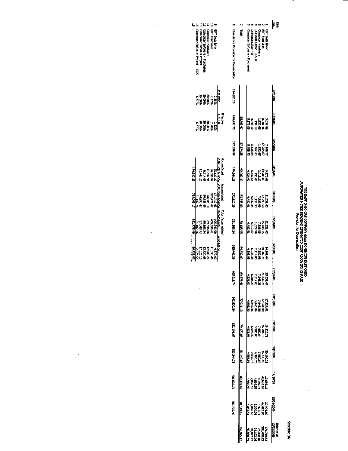### THE EAST DHOG GAS COMPANY dÌMA DOMINION EAST ONIQ<br>AUTOMATED NETER READING ESTIVATED COST RECOVERY CHARGE<br>AUTOMATED NETER READING ESTIVATED COST RECOVERY CHARGE

Schedule 3A

|            | computer Software Project CCS | contar Sorbrare Project                                        | Computer Software - Purchases | computer Hardware | <b>EXTRACTES</b> | ERT Indialiation |                          |                        | Cumulative Provision for Depreciatio | ed<br>E          | Computer Software - Purchased                                          | m House Labor - DT | <b>House Labor CCS IT</b> | computer Hardware | <b>HATTLE PLICE HARRISE</b> | ERT India Hattion                                                |                                 |
|------------|-------------------------------|----------------------------------------------------------------|-------------------------------|-------------------|------------------|------------------|--------------------------|------------------------|--------------------------------------|------------------|------------------------------------------------------------------------|--------------------|---------------------------|-------------------|-----------------------------|------------------------------------------------------------------|---------------------------------|
|            |                               | 128887<br>288887<br>388887                                     |                               |                   |                  | 586              | Dept Rate                |                        | 114,680.21                           |                  |                                                                        |                    |                           |                   |                             |                                                                  | <b>IONESTI</b>                  |
|            |                               | ងនិងវិន្ទ័ន្ត<br>ពីខ្ញុំខ្ញុំខ្ញុំដំ<br>ដំបូង                  |                               |                   |                  |                  | 111708                   | Effective              | <b>140,482.70</b>                    | <b>15.902.47</b> |                                                                        |                    |                           |                   |                             | អង្គ ដូច្នេះ<br>មាន ដូច្នេះ<br>មាន ដូច្នេះ                       | 80/EE/TO                        |
|            |                               |                                                                |                               |                   |                  |                  |                          |                        | 177,656,99                           | 37.174.29        |                                                                        |                    |                           |                   |                             | អង្គក្នុង<br>ស្រុក ស្រុក<br>ស្រុក ស្រុក ស្រុក<br>ស្រុក ស្រុក     | 10/62/20                        |
| 114,680.23 |                               | 56,056.99<br>11,537.96<br>12,743.26                            |                               |                   |                  | 35.127.37        | 2007 Depresiation        | Accountable            | 219,664.29                           | 42,007.30        |                                                                        |                    |                           |                   |                             | 9228<br>2022 - 2022<br>2022 - 2022<br>2022 - 2022<br>2022 - 2022 | 90/16/60                        |
| 769,095.12 |                               | 352,478.62<br>74,897,47<br>74,897,47<br>31,102,75<br>31,102,75 |                               |                   |                  | នារាននា          | <b>MULDER Department</b> | <b>Perfect in Case</b> | <b>27.920.29</b>                     | 53,256.00        |                                                                        |                    |                           |                   |                             | 110273<br>2278873<br>23788736<br>23788                           | <b>SO/OE/MO</b>                 |
| 062.775.40 |                               | 408,555.61<br>89,564,072<br>87,640,72<br>31,102,76,            |                               |                   |                  | 194.847.00       | <b>Portectable</b>       | lctai Accumulation     | 331,106.24                           | 58.185.95        |                                                                        |                    |                           |                   |                             | $\frac{125}{128888884}$                                          | <b>BOVTE/PD</b>                 |
| 66,731.02  |                               | 17,991.21<br>17,528.15<br>2,074.55                             |                               |                   | 11,030.46        | 4370.00          | <b>NONTESTINA</b>        |                        | 395,441.33                           | 64,337.09        |                                                                        |                    |                           |                   |                             | 1120128<br>1788211128<br>1788211288<br>488888                    | 80/06/90                        |
|            |                               |                                                                |                               |                   |                  |                  |                          |                        | <b>A.</b> 210,24                     | 69.576.41        | 15,532,67<br>7,744,872,82<br>6,806,29<br>4,835,07<br>4,835,07          |                    |                           |                   |                             |                                                                  | S<br>छा⁄छ                       |
|            |                               |                                                                |                               |                   |                  |                  |                          |                        | <b>RA2,930.84</b>                    | 77.911.10        |                                                                        |                    |                           |                   |                             | 172225<br>27545888<br>27545888<br>28637                          | <b>MAZEVA</b>                   |
|            |                               |                                                                |                               |                   |                  |                  |                          |                        | 62,101.67                            | 79.170.83        | 18525<br>28780822<br>2880822<br>48308<br>48308                         |                    |                           |                   |                             |                                                                  | <b>BOADEAGO</b>                 |
|            |                               |                                                                |                               |                   |                  |                  |                          |                        | 70.244.33                            | 81, 142.66       | 70,004<br>70,008<br>70,008 11<br>70,008<br>70,009                      |                    |                           |                   |                             |                                                                  | <b>ROVERATE</b>                 |
|            |                               |                                                                |                               |                   |                  |                  |                          |                        | ה בשנו                               | 88,381.42        | 1966.15<br>4962.15<br>8,186.16<br>7,980.90<br>4,980.90                 |                    |                           |                   |                             |                                                                  | <b>KO/OE/TE</b>                 |
|            |                               |                                                                |                               |                   |                  |                  |                          |                        | <b>DR.775.40</b>                     | 91,149.65        |                                                                        |                    |                           |                   |                             |                                                                  | 32731/2008                      |
|            |                               |                                                                |                               |                   |                  |                  |                          |                        |                                      | 768.095.17       | 17,79.63<br>78,006.17<br>78,006.17<br>7,888.59<br>5,888.59<br>5,888.59 |                    |                           |                   |                             |                                                                  | 12/31/2008<br><b>Balance at</b> |

 $\ddot{\phantom{1}}$ 

l,

 $\hat{\boldsymbol{\beta}}$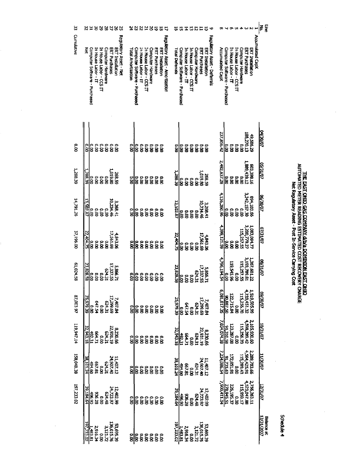| 씮             |                                    |                              |                         |                   |                                                     | 8828833                                           |                           |                               | 58228               |                         |                   |                             | 등                | 5                               | 능                      | 罚                             | 도                                        |                         | 75                | ᆸ                    | る                                   | ю                            |                  |                                  |                     |                         |                            |                      |                                                                                                                                                                           |                 | $\overline{3}$<br>오.             |
|---------------|------------------------------------|------------------------------|-------------------------|-------------------|-----------------------------------------------------|---------------------------------------------------|---------------------------|-------------------------------|---------------------|-------------------------|-------------------|-----------------------------|------------------|---------------------------------|------------------------|-------------------------------|------------------------------------------|-------------------------|-------------------|----------------------|-------------------------------------|------------------------------|------------------|----------------------------------|---------------------|-------------------------|----------------------------|----------------------|---------------------------------------------------------------------------------------------------------------------------------------------------------------------------|-----------------|----------------------------------|
| Cumulative    | 吊<br>Computer Software - Purchased | In House Labor - IT          | In House Labor - CCS IT | Computer Hardware | ERT Purchases                                       | Regulatory Asset - Net<br><b>ERT Installation</b> | <b>Total Amortization</b> | Computer Software - Purchased | In House Labor - IT | In House Labor - CCS IT | Computer Hardware | <b>ERT Purchases</b>        | ERT Installation | Regulatory Asset - Amortization | <b>Total Deferrals</b> | Computer Software - Purchased | In House Labor - IT                      | In House Labor - CCS IT | Computer Hardware | <b>ERT Purchases</b> | ERT Installation                    | Regulatory Asset - Deferrals | Accumulated CapX | Computer Software - Purchased    | In House Labor - IT | In House Labor - CCS IT | Computer Hardware          | <b>ERT Purchases</b> | ERT Installation                                                                                                                                                          | kcountated CapX |                                  |
| $\frac{1}{8}$ | ີຣ                                 | O.O<br>å                     | O.O                     | o.o               | O.OO                                                | $\frac{6}{8}$                                     | ខ្លួ                      | o.oo                          |                     |                         |                   | 388888                      |                  |                                 | ້ຮ                     | o.oo                          | δ,                                       | $\tilde{g}$             | δ                 |                      | $\frac{8}{8}$                       |                              | 237,856.42       | ខ្ល                              | o.o                 | ខ្ល                     | <b>S</b>                   | 188,270.13           | 19.585.25                                                                                                                                                                 |                 | <b>CO/OC/FO</b>                  |
| 1,288.39      | <b>EE BEZ</b><br>io<br>18          | o.oo                         | o.oo                    | 0.00              | 1,019.80                                            | 568.59                                            | ខ្លួ                      | o.co                          |                     |                         |                   |                             |                  |                                 | 66'882'T               |                               | ្ត<br>ខេត្                               | ទី                      | $\tilde{g}$       | 1,019.90             | 568.59                              |                              | 2,492,837.28     | ឨ                                | ទី<br>ខ             | ខ្ល                     | $\tilde{a}$                | 1289,439.12          | <b>603, 398.16</b>                                                                                                                                                        |                 | <b>2/31/07</b>                   |
| 14,791.26     | 13,502.87                          | $\frac{1}{2}$<br>io.or       | o.oo                    | o.o               | 10,234.46                                           | 3,268.41                                          | $\frac{6}{5}$             |                               | e e e e<br>8 8 8 8  |                         |                   | $\frac{1}{8}$               | $\overline{a}$   |                                 | 13,502.87              | is<br>B                       | o.oo                                     | o.oo                    | e.oo              |                      | 3,268.41<br>10,234.46               |                              | 4,136,260.96     | <b>O.OO</b>                      | o.oo                | <b>0.00</b>             | $\tilde{8}$                | 3,242,157.30         | 994,103.66                                                                                                                                                                |                 | 70/06/90                         |
| 37,196.00     | 22,404.75                          | $\frac{6}{8}$<br>$\tilde{8}$ | $\tilde{8}$             | $\tilde{a}$       | 17,561.69                                           | 4,843.06                                          | $\tilde{a}$               | o.ox                          |                     |                         |                   | 88888                       | $\overline{8}$   |                                 | 22,404.75              |                               | e e e<br>888                             |                         | e<br>S            | 17,561.69            | 4,843.06                            |                              | 4.399,121.59     | ່ຂຶ                              | o<br>8              | $\tilde{8}$             | 115,257.55                 | 3 200,779 27         | 1 083,084.77                                                                                                                                                              |                 | <b>ZO/TE/ZO</b>                  |
| 61,024.58     | $\frac{0.00}{23.828.58}$           |                              |                         |                   | 5,886.71<br>17,337.55<br>17,337.55<br>10.00<br>0.00 |                                                   |                           |                               |                     |                         |                   |                             |                  |                                 |                        |                               | <u>នេះខេះ<br/>១០០</u><br>១០០<br>១០០      |                         |                   |                      | 5,856.71<br>17,337.55<br>624.31     |                              |                  |                                  |                     |                         |                            |                      | $\begin{array}{l} 1.367, 601.22\\ 1.367, 261.25\\ 1.15, 257.55\\ 1.15, 257.55\\ 1.15, 257.55\\ 1.15, 257.55\\ 1.15, 257.57\\ 1.195, 194.54\\ 1.196, 194.54\\ \end{array}$ |                 | <b>COVEC/SO</b>                  |
| 87,003.97     | 25,979.39                          | 647.54<br>0.00               | 0.00                    |                   | $7,407.84$<br>17,299.69<br>624.31                   |                                                   | ទី<br>ខ                   |                               | 888888              |                         |                   |                             |                  |                                 | 25,979.39              | ie<br>G                       | 647.54                                   | ទី<br>ខ                 | 124.23            |                      | 7,407.84<br>17,299.69               |                              |                  | $\frac{30,887.50}{5,081,817.35}$ | 122,715.84          | o.o                     | 115,256.70                 | 4,233,451.32         | 1,519,505.99                                                                                                                                                              |                 | 09/30/07                         |
| 119,947.14    | 32,943.18                          | <b>664.71</b><br>492.31      | o.oo                    | 624.31            | 8,230.66<br>22,931.19                               |                                                   | o.oo                      |                               | 888<br> <br>        |                         |                   | $\frac{8}{8}$ $\frac{8}{8}$ |                  |                                 | 32,943.18              | 492.31                        | <b>EGA.71</b>                            | e.oo                    | IT-1-29           |                      | 8,230.66<br>22,931.19               |                              | 7,034,074.38     | 91,310.58                        | 123,287.08          | 0.00                    | 4,598,289.42<br>115,256.70 |                      | 2,105,930.60                                                                                                                                                              |                 | <b>CO/16/01</b>                  |
| 158,048.38    | 28,101.24                          | 667.81<br>494.60             | o.o                     | 124.31            | 11,407.12<br>24,907.40                              |                                                   | $\frac{1}{2}$             |                               | 888888              |                         |                   |                             |                  |                                 |                        | $\frac{494.60}{38,101.24}$    | 18799                                    | e.<br>8                 | 124.31            |                      | 11,407.12<br>24,907.40              |                              | 7,234,086.54     | 91,735.63                        | 172,851.91          | <b>0.00</b>             | 115,289.43                 | 4564,425.91          | 2,289,783.66                                                                                                                                                              |                 | 11/30/07                         |
| 197,233.02    | 39,184.64                          | 936.28<br>06'96+             | o<br>S                  | 624.48            | 12,402.99<br>24,723.97                              |                                                   | ទី<br>ខ                   |                               | 000000<br>88888     |                         |                   |                             | $\tilde{8}$      |                                 | 39,184.64              |                               | 936.90                                   | <b>0.00</b>             | 854.48            |                      | 12,402.99<br>24,723.97              |                              | 7,900,411.04     | 278,945.51                       | 226,195.37          | $\tilde{8}$             | 4.523,047.B8<br>B81.547.B8 |                      | 2756,263.11                                                                                                                                                               |                 | 12/31/07                         |
|               | 197,233.02<br>1,483.81             | 2,916.34                     | 0.00                    | 3,121.72          | 136,015.76                                          | <b>SC 569'ES</b>                                  | $\frac{1}{8}$             |                               | 8888<br>888         |                         |                   | O.OO                        | $\overline{5}$   |                                 |                        |                               | $\frac{2,916.44}{19.233.02}$<br>1,483.81 | 0.00                    |                   |                      | 53,695.39<br>136,015.76<br>3,121.72 |                              |                  |                                  |                     |                         |                            |                      |                                                                                                                                                                           |                 | <b>Balance at<br/>12/31/2007</b> |

 $\frac{1}{2}$ 

# THE EAST ONEQ GAS COMPANY dUbia DOMINION EAST OHIO<br>AUTOMATED METER READING ESTIMATED COST RECOVERY ONARGE<br>Net Regulatory Asset - Post In-Service Carrying Cost

l,

 $\hat{\boldsymbol{\cdot}$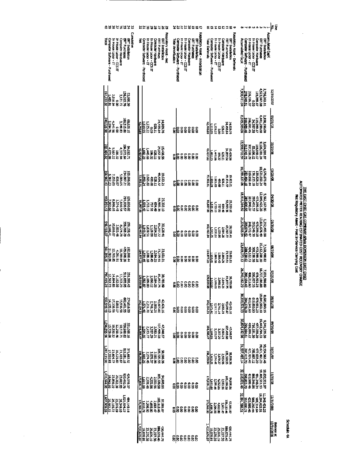**Schedule 4A** 

|              |                               |                              |                                     |                   |                           |                                                    | 33343478         |            |                 |                               |         |                      |                                     |                   |                               |                           | 2252825              |                    |                               |                     |                         |                   |                      |               | 2552135                                                    |                        |                               | 53555                                                                                                    |                            |                                      |                   |                         | Б<br>٠o                                        |                             |                               |                            |                         |                                        |                   |                                |                                            | Ş<br>F                           |
|--------------|-------------------------------|------------------------------|-------------------------------------|-------------------|---------------------------|----------------------------------------------------|------------------|------------|-----------------|-------------------------------|---------|----------------------|-------------------------------------|-------------------|-------------------------------|---------------------------|----------------------|--------------------|-------------------------------|---------------------|-------------------------|-------------------|----------------------|---------------|------------------------------------------------------------|------------------------|-------------------------------|----------------------------------------------------------------------------------------------------------|----------------------------|--------------------------------------|-------------------|-------------------------|------------------------------------------------|-----------------------------|-------------------------------|----------------------------|-------------------------|----------------------------------------|-------------------|--------------------------------|--------------------------------------------|----------------------------------|
|              | Computer Software - Purchased | Trimos Labor-IT              | TT House Labor - CCS IT             | Computer Hardware |                           | <b>BRT Purchases</b>                               | BRT Installation | Cumulative | ī               | Computer Software - Purchased |         | In House Labor - IT  | in House Labor - CCS IT             | Computer Hardware | ERT Purchases                 | ERT Installation          | Regulatory Asset Net | Total Amortization | Computer Software - Purchased | In House Labor - IT | IT 200 - Wildlife Hours | Computer Hardware | <b>EXT Purchases</b> |               | <b>Regulatory Asset - Amortization</b><br>ERT Installation | <b>Total Deferrals</b> | Computer Software - Purchased |                                                                                                          | <b>Tile and Andrei Til</b> | In House Labor - CCS IT              | Computer Hardware | <b>ERT Purchases</b>    | Regulatory Asset Deferrals<br>EPT Installation | Accumulated CapX            | Computer Software - Purchased | <b>In House Labor - IT</b> | In House Labor - CCS IT |                                        | Computer Hardware | <b>ERT Purchases</b>           | councidied Cap/<br><b>ERT Installation</b> |                                  |
| 197,233.02   |                               | 18 88 1<br>148 91 1          | o.o                                 |                   | 3,121.72                  | 136.015.76                                         | 53,695.39        |            |                 |                               |         |                      |                                     |                   |                               |                           |                      |                    |                               |                     |                         |                   |                      |               |                                                            |                        |                               |                                                                                                          |                            |                                      |                   |                         |                                                | 7,900,411.04                | 278,945,51                    | 226,195,27                 | e<br>S                  | 115,959.17                             |                   | <b>1523,047,08</b>             | 2,756,263.11                               | 12/31/2007                       |
| 20,026.30    |                               | 4,141.56                     | o.o                                 |                   | <b>SP 66 60</b>           | 160,515.60                                         | 8,025.15         |            | 1279.88         | 56.015                        |         | 12222                | å                                   | 11329             | 24,499.84                     | <b>N 626 30</b>           |                      | ŝ                  | ្ងៃ                           | ទី                  | ខ្លែ                    | ê                 | ŝ                    | ŝ             |                                                            | <b>12,79.88</b>        | <b>SLOS</b>                   |                                                                                                          | 1225.22                    | $\overline{\overline{\overline{3}}}$ | 11'829            | 24,499.84               | 14.929.76                                      | 8,019,309.06                | 310.565.46                    | 266,891.15                 | <b>BE-16E-PE</b>        | 115,959.17                             |                   | <b>09 GGZ TEFF1</b>            | <b>DO 961 DEB'T</b>                        | 80718710                         |
| 83, 464, 82  |                               | 457.88<br>22.88.9            | 186.32                              |                   | 医习术                       | <b>184.572.64</b>                                  | 94,063.71        |            | 13,407.92       | ್ಣ ಜ                          |         | 1.145.66<br>1.445.66 |                                     | 17929             | <b>15,438.86</b><br>24,057.04 |                           |                      | ទី                 |                               | 8888<br>888         |                         |                   |                      | ទីទី          |                                                            | m a a                  | <b>EX2.21</b>                 | 1445.BE                                                                                                  |                            | <b>EC-32</b>                         | 11.023            | 24,057.04               | 15,438.54                                      | 13,569,710.54               | 312043.75                     |                            | 83,198.23<br>207,538.23 | 115,959.17                             |                   | <b>PC 186 92T 6</b>            | 3,624,591.97                               | 80/52/20                         |
| EP 296 95E   | 6.357.23                      | 7.25.05                      | 4698                                |                   | 5 006 05                  | <b>EZ 200 HEZ</b>                                  | 103,696.90       |            | <b>C.SOLG</b>   |                               | -590.24 | 1.665.82             | ធំ<br>និ                            | 11979             |                               | 19,631, 21<br>13, 134, 57 |                      | ខ្លឹ               |                               | -------<br>888888   |                         |                   |                      |               |                                                            | ra.soz.63              |                               | 5.0.21                                                                                                   | 1,665.82                   | 合同                                   | <b>P.8.13</b>     | 49,434.57               | 19,633.23                                      | 16,059,137.06               | 82 44 18                      | <b>H-556 GTC</b>           |                         | 135,155.10                             | 120.828.23        | <b>10,521,850,24</b>           | 4,676,879.87                               | <b>00/127.0</b>                  |
| 443,954.43   | 7,902.66                      | 8,986.16                     | 81-124                              |                   | <b>5,660.54</b>           | 231,000.57                                         | 29,030.02        |            | 00 285 38       | -33.43                        |         | II BELT              | 15 dia                              | 54 KG             | 96.593.36                     | 25.333.10                 |                      | e<br>S             | ន្ត្រី                        |                     |                         |                   | <b>88888</b>         |               |                                                            | 00.798.00              |                               | 133.41                                                                                                   | <b>TIBEL!</b>              | 77.51                                | 51.6              | 56,993.3                | 75,333.IO                                      | 18,916,364.92               | 245.000.50                    | <b>SE 016' ZEE</b>         | 208,431.57              |                                        | 473,399.18        | 12,049,425.28                  | 5,562,167.96                               | <b>90/00/08</b>                  |
| 10'8119'55   | 9,446.41                      | 10,816.67                    | 2,503.48                            |                   | <b>BZ PCC 8</b>           | 95,268.29                                          | 159,158.43       |            | 102.46.54       | 543.75                        |         | <b>1.230.51</b>      | un sziri                            | 2,564.25          | 27.10.72                      | 11 82 T DE                |                      | ទី                 | ្ងៃ                           |                     | ខ្ជីខ្ញុំ               | å                 | ŝ                    |               | e<br>S                                                     | 102,463.64             |                               | 54: 25                                                                                                   | <b>LEOSE</b>               | un on                                | <b>SE4957</b>     | 65,267.72               | 30,126.41                                      | 21,226,565.94               | 28.974.52                     | 348,72.17                  | <b>OE 697662</b>        |                                        | 473,399.18        | <b>13,611,676.49</b>           | 6,212, 49.88                               | <b>OF/31/08</b>                  |
| 561,395.30   |                               | 38.00.11<br>38.20.11         | 16'160'                             |                   | <b>10,780,01</b>          | 192,808.20<br>429,998.20                           |                  |            | 114.97.22       |                               | -534.45 | L588.43<br>L988.19   |                                     | 2564.25           | 73,729.91                     | 13,651.01                 |                      | ទ្ធិ               | ēω                            | $\overline{a}$      |                         |                   | 5888                 |               |                                                            | 114,977.23             |                               | 1.354.45                                                                                                 | <b>FT 6887</b>             | $-3881$                              | 2.99.25           | 13,729.91               | 33.651.01                                      | 23,819,073.13               | 288,530.02                    |                            | 380.330.25              |                                        | 473,399.18        | 15,112,200.10                  | 7,100,190.82                               | 80/0E/30                         |
|              |                               |                              |                                     |                   |                           |                                                    |                  |            |                 |                               |         |                      | 38<br>23288888<br>2388888<br>353888 |                   |                               |                           |                      |                    |                               | ន្ត្រីទូនទី         |                         |                   |                      | ទ្ធិទ្ធ       |                                                            | sl                     | 26.80                         |                                                                                                          | 2,189.00                   | 2,554,25<br>2,666,12                 |                   | 38,755.29<br>81,657.75  |                                                | 26,240,1                    | 181.49                        | <b>Sasa</b>                |                         | 1825<br>825<br>333                     |                   | ו'נמיג<br>זומיג                | 63186                                      | <b>TEZO</b><br>ſ3                |
| 932,549.49   |                               | 17,106.55<br><u>14,135.1</u> | 8,893.17                            |                   | 0593650                   | 802,461.55                                         | 274.016.55       |            |                 | 1157.140<br>Vilian            |         |                      | 2,882.21<br>2,741.14<br>2,211.70    |                   | <b>PO.605.60</b>              | 2,421.16                  |                      | e<br>S             |                               | ខ្លួខខ្លួខខ្លួ      |                         |                   |                      |               |                                                            | 142,134,21             | 1171.41                       |                                                                                                          | 2211.70                    | 2741.14                              | <b>LEBL</b>       | 42,421.16<br>90,605.60  |                                                | 294,378.29<br>20.333,501.33 |                               | 6911510                    | 619.006.93              |                                        | 475,901.23        | 19,845,983.10                  | 8,685,890.15                               | 80/16/80                         |
| 96:558.960.1 |                               | 19,22.68<br>15,729.68        |                                     |                   |                           | 321,065.16<br>700,560.62<br>13,519.71<br>12,250.46 |                  |            | 164.305.47      | 394.55                        |         |                      | 2,582.21<br>2,357.29<br>2,223.77    |                   | 107,499,03                    | 47,048.57                 |                      | g                  | å                             |                     | នីនីទី                  |                   |                      | $\frac{5}{8}$ |                                                            | <b>64,306.41</b>       | 1,594.5                       |                                                                                                          | 2,23.77                    | 335729                               | 2,532.1           | 90'669'/01<br>AF880'/25 |                                                | 96'74'145'0E                | 295,984.61                    | $77668'$ 611               | 716,191.30              | 477,038.20                             |                   | <b>EE102333</b>                | <b>DESEZTPE6</b>                           | 80/06/60                         |
| 263,115,90   |                               | 27,004.72<br>17,232.93       | 16,129.83                           |                   |                           | 371,663.52<br>815,281.18<br>21,103.67              |                  |            | <b>1942-921</b> | 57 E09'T                      |         |                      | 31.983.98<br>12.274.95<br>27.274.95 |                   | 50,588.05                     |                           |                      | ខ្ពុំ              |                               | 8888                |                         |                   |                      | ខ្លីខ្ល       |                                                            | 16,259.91              | 1,603.Z                       | 2,274.45                                                                                                 |                            | <b>CEBEZE</b>                        | 5,583,95          | 105,320.55              | 90'88'36                                       | 297, 415,70                 |                               |                            |                         | 17,036.20<br>785,087.12<br>121,929.13  |                   | 10,134,562.45<br>19,421,460.23 |                                            | 10/31/08                         |
| 1,433,944.00 | 18 S43 93                     | 23.890.22                    | <b>66 785 38</b>                    |                   | 920, 490.76<br>23, 687.63 |                                                    | EG.559.07        |            | <u>पा धरकात</u> | 00.11.00                      |         |                      | 2,583.96<br>4,455.56<br>2,285.45    |                   | 85'58'58                      | 54 895.55                 |                      |                    | Ē                             | 88888               |                         |                   |                      |               |                                                            | present                | <b>DOLLET</b>                 | 2365.45                                                                                                  |                            | 4252.56                              | 36.98             | 85%1%18<br>55%978       |                                                | 32,116,631.46               | 298,853.70                    |                            |                         | 491,348,34<br>B66,546,86<br>423,959.46 |                   | 19 405 561 13                  | 10,630,351.97                              | 11/30/08                         |
| 1,60,909.09  | 20,562.72                     |                              | 26,349.10<br>25,076.19<br>26,186.72 |                   |                           | 22.194.22                                          | 484,140.14       |            | 173,66.09       | <u><b>Leid.79</b></u>         |         | 35362'z              |                                     | 2,601.47          | 302,113.46                    | 27,581.07                 |                      |                    |                               | ន្ទ្រីខ្លួន         |                         |                   | ខ្លួខ្លួ             |               |                                                            | 17,96,09               | 1.618.75                      | 2.296.50                                                                                                 | $00.269 +$                 | 1997                                 |                   | 106,113.46              | <b>00 185 25</b>                               | 12,891,588.51               | <b>120,000.21</b>             | 42,989.46                  | 966,250.44              | <b>PD 214.64</b>                       |                   | 19,294,622.51                  | <b>1.348,431.25</b>                        | 12/31/2008                       |
|              |                               |                              |                                     |                   |                           |                                                    |                  |            | 110.676.07      |                               |         |                      | 23,227,38<br>25,076,29<br>19,076,91 |                   | 889,578.46                    | <b>130.444.75</b>         |                      | ၌                  | S                             | ន៍ទី                |                         | g                 |                      | ទ្ធិទ្តី      |                                                            | 1,410,676.07           |                               | $\begin{array}{l} 490,444.75\\ 389,572,39\\ 25,076.19\\ 25,076.19\\ 25,270.39\\ 19,078.91\\ \end{array}$ |                            |                                      |                   |                         |                                                |                             |                               |                            |                         |                                        |                   |                                |                                            | <b>Balance at<br/>12/31/2008</b> |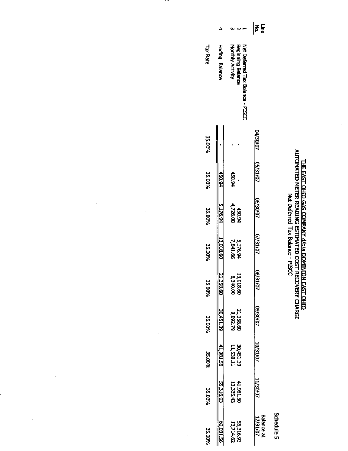| PLOATED AFTER READING ESTIMATED COOL RECOVERS CHA<br>コポロ<br>د<br>م<br><b>CASO CAS COMMIT</b><br>Net Deferred Tax Balance - PISCC<br>/ d/b/a DOMINIQN<br>יי<br>מלא |
|-------------------------------------------------------------------------------------------------------------------------------------------------------------------|
|-------------------------------------------------------------------------------------------------------------------------------------------------------------------|

 $\hat{\mathcal{E}}$ 

Schedule 5

|                 | ٥                     |                                                                           | $\mathbf{\hat{s}}$ $\mathbf{\hat{s}}$ |
|-----------------|-----------------------|---------------------------------------------------------------------------|---------------------------------------|
| <b>Tax Rate</b> | <b>Ending Balance</b> | Beginning Balance<br>Net Deferred Tax Balance - PISCC<br>Monthly Activity |                                       |
| 35.00%          |                       |                                                                           | <b>LO/02/10</b>                       |
| 35.00%          | 450.94                | 450.94                                                                    | 05/31/07                              |
| 35.00%          | 5.176.94              | 450.94<br>4,726.00                                                        | 0/02/90                               |
| 35.00%          | 13,018.60             | 5,176.9<br><b>P9'1'8'</b>                                                 | <b>D/IE/20</b>                        |
| 35.00%          | 21,358.60             | 00'042'8<br>09'810'E1                                                     | 08/31/07                              |
| 35.00%          | <b>6E'ISb'OE</b>      | 9,092.79<br>09.835.15                                                     | 09/30/07                              |
| 35.00%          | $-41,981.50$          | 30,451.39<br>11,530.11                                                    | 10/121/07                             |
| 35.00%          | 55,316.93             | 41,981.50<br>13,335.43                                                    | <b>LO/OE/TT</b>                       |
| 35.00%          | <b>89,031.5</b>       | 55,216.93<br>13,714.62                                                    | <b>Balance at</b><br>12/31/07         |

 $\mathcal{F}_{\mathcal{A}}$ 

 $\hat{\mathcal{A}}$ 

 $\label{eq:2.1} \frac{1}{2} \sum_{i=1}^n \frac{1}{2} \sum_{j=1}^n \frac{1}{2} \sum_{j=1}^n \frac{1}{2} \sum_{j=1}^n \frac{1}{2} \sum_{j=1}^n \frac{1}{2} \sum_{j=1}^n \frac{1}{2} \sum_{j=1}^n \frac{1}{2} \sum_{j=1}^n \frac{1}{2} \sum_{j=1}^n \frac{1}{2} \sum_{j=1}^n \frac{1}{2} \sum_{j=1}^n \frac{1}{2} \sum_{j=1}^n \frac{1}{2} \sum_{j=1}^n \frac{$ 

 $\hat{\mathcal{A}}$ 

 $\bar{z}$ 

 $\mathbb{Z}^2$ 

 $\sim 10$ 

 $\hat{\mathcal{A}}$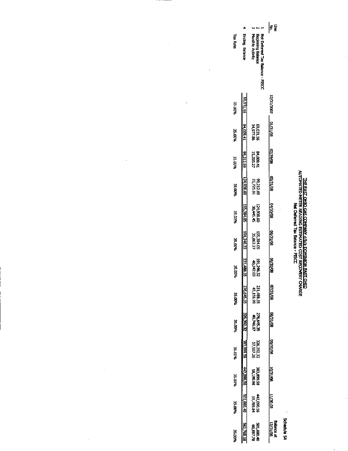## <u>THE EAST OHIO GAS COMPANY d/D/3 DOMINION EAST OHIC</u><br>AUTOMATED METER READING ESTIMATED COST RECOVERY CHARGE<br>AUTOMATED METER READING ESTIMATED COST RECOVERY CHARGE

 $\ddot{\phantom{0}}$ 

 $\frac{1}{2}$ 

 $\ddot{\phantom{a}}$ 

Schedule 5A

|                 |                       |                             |                                                                          | 통통                           |
|-----------------|-----------------------|-----------------------------|--------------------------------------------------------------------------|------------------------------|
| <b>Tax Rate</b> | <b>Ending Betance</b> |                             | Beginning Balance<br>Monthly Activity<br>Net Defened Tax Balance - PISCC |                              |
| 35,00%          |                       | 89,031.56                   |                                                                          | 12/31/2007                   |
| 35.00%          | <b>14,000,41</b>      |                             | 69,031.56<br>14,977.86                                                   | 80/1E/10                     |
| <b>PE DO PR</b> |                       | 99.212.69                   | 84,009.41<br>15,203.27                                                   | 80/62/20                     |
| WOU SE          |                       | 124,938.60                  | 99,212.69<br>25,725.91                                                   | <b>02/31/08</b>              |
| 35.00%          |                       | 155,384.05<br>30,445.45     | 124,938.60                                                               | 80/06/10                     |
| <b>35.00%</b>   |                       | 191,246.32<br>35,862.27     | 155,384.05                                                               | 80/12/50                     |
| ት በበት           |                       | 21, 488.35<br><b>242.03</b> | 191,246.32                                                               | 80/02/90                     |
| 35 MM 26        |                       | 276,645.35                  | 231,488.35<br>45,156.99                                                  | <b>07/31/08</b>              |
| 35.DO%          |                       | 326.392.32                  | 276,645.35<br>276,645.37                                                 | 80/12/90                     |
| 35.00%          |                       | 35'568'EE                   | 92.592.22<br>22.592.22                                                   | 80/02/60                     |
| <b>9600 SE</b>  |                       | 442,090.56                  | 86'061'95<br>92'669'292                                                  | <b>10/31/08</b>              |
| 35.00%          | <b>1038.105</b>       |                             | <b>H2.090.SP</b><br>H2.090.SP                                            | 80 DE/IT                     |
| 35.00%          |                       |                             | 92'198'105<br>00'88'105                                                  | <b>Batance a</b><br>12/31/08 |

l.

 $\frac{1}{2}$ 

 $\frac{1}{2}$ 

 $\frac{1}{\sqrt{2}}$ 

 $\ddot{\phantom{0}}$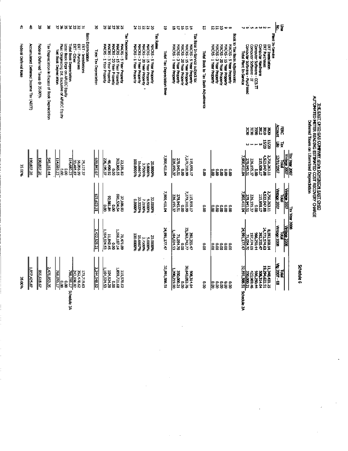| ᡱ                     | ਠੰ                                     | ४                               | 8                                               | 322282                                                                                                                                                                                                                       | g                      | 38288                                                                                                                                                          | 82252                                                                                                                                              | ö                           | ここでは                                                                                                                                                                     | G                                   | ここさ<br>စော                                                                                                                                                              |                                                                                          | くのいっことー                                                                                     | F                                                                |
|-----------------------|----------------------------------------|---------------------------------|-------------------------------------------------|------------------------------------------------------------------------------------------------------------------------------------------------------------------------------------------------------------------------------|------------------------|----------------------------------------------------------------------------------------------------------------------------------------------------------------|----------------------------------------------------------------------------------------------------------------------------------------------------|-----------------------------|--------------------------------------------------------------------------------------------------------------------------------------------------------------------------|-------------------------------------|-------------------------------------------------------------------------------------------------------------------------------------------------------------------------|------------------------------------------------------------------------------------------|---------------------------------------------------------------------------------------------|------------------------------------------------------------------|
| Federal Deferral Rate | Accumulated Deferred Income Tax (ADTT) | Federal Deferred Taxes @ 35.00% | Tax Depreciation in Excess of Book Depreciation | <b>Book Depreciation</b><br>Less: Book Depr on AFUDC Equity<br>Plus: Originating Dif. Exclusive of AFUDC Equity<br>Total Book Depreciation<br>ERT - Other<br>ERT - Purchases<br>ERT - Installations<br>Net Book Depreciation | Total Tax Depreciation | <b>Tax Depreciation</b><br>MACRS - 1 Year Property<br>MACRS 3 Year Property<br>MACRS - 20 Year Property<br>MACRS - 15 Year Property<br>MACRS - 5 Year Property | Tax Pates<br>MACRS - 1 Year Property<br>MACRS - 3 Year Property<br>MACRS - 15 Year Property<br>MACRS - 20 Year Property<br>MACRS - 5 Year Property | Total Tax Depreciation Base | Tax Base In-Service subject to:<br>MACRS - 3 Year Property<br>MACRS - 1 Year Property<br>MACRS - 15 Year Property<br>MACRS - 20 Year Property<br>MACRS - 5 Year Property | Total Book to Tax Basis Adjustments | Book to Tax Basis Adjustments:<br>MACRS - 20 Year Property<br>MACRS - 3 Year Property<br>MACRS - 1 Year Property<br>MACRS - 15 Year Property<br>MACRS - 5 Year Property | Computer Software - IT<br>Computer Software - Purchased<br><b>Total Plant In Service</b> | Computer Hardware<br>ERT Purchases<br><b>ERT Installation</b><br>Computer Software - CCS TT | No.<br>Plant In-Service<br>The Plant In-Service                  |
|                       |                                        |                                 |                                                 |                                                                                                                                                                                                                              |                        |                                                                                                                                                                |                                                                                                                                                    |                             |                                                                                                                                                                          |                                     |                                                                                                                                                                         | ă                                                                                        | <b>ESHEE</b>                                                                                | Acrount<br>出头                                                    |
|                       |                                        |                                 |                                                 |                                                                                                                                                                                                                              |                        |                                                                                                                                                                |                                                                                                                                                    |                             |                                                                                                                                                                          |                                     |                                                                                                                                                                         |                                                                                          | 15,70<br>ns/20<br><b>u</b>                                                                  | $\vec{x}$<br>ЦÉ                                                  |
| 35.00%                | $\frac{192,002,20}{2}$                 | $\frac{150,00/20}{2}$           | 545,163 44                                      | 114,680.23<br>114,680.23<br>33,495.87<br><b>56,056.99</b><br>25,127.37<br>o.oo<br>g.o                                                                                                                                        | 659,843.67             | 363,865.55<br>226.37<br>16,490.92<br>23,191.83<br>e<br>S                                                                                                       | %0000001<br>16.6667%<br>50.0000%<br>3.7500%<br>5.0000%                                                                                             | <b>HOLLIP, 000, 7</b>       | 66012'62'Z<br>278,945,51<br>115,959.17<br>226,195.37<br>នី                                                                                                               | 8<br>8                              | e.o<br>$\tilde{8}$<br>e.g<br>$\tilde{8}$<br>ြို့                                                                                                                        | <b>1,900,411.04</b><br>Z78,945.51<br>226,195.37                                          | 88 LHO'EZ 5'1<br>L.C35,263.L1<br>115,959.17<br>$\tilde{8}$                                  | $\frac{100 \times 1007}{1000 \times 1007}$<br>12/31/2007         |
|                       |                                        |                                 |                                                 |                                                                                                                                                                                                                              | 821.623.31             | 591,534.54<br>92,981.84<br>37,106.93<br>ខ<br>ខ<br>e.o                                                                                                          | <b>MACRETEC</b><br>32.0000%<br>9.5000%<br>1000010<br>7.2190%                                                                                       | 7,900,411.04                | 6015,875,7<br>00.0<br>00.015,875,7<br>115,959.17<br>226,195.37                                                                                                           | å                                   | $rac{1}{8}$ $rac{1}{8}$ $rac{1}{8}$<br>$\tilde{8}$<br>ទី                                                                                                                | 7.578,945.51<br>226,195.37                                                               | 4523,047.88<br>1756,263.11<br>00'0<br>4T 556'STT                                            | <b>Vintage 2007</b><br>Vintege 2007<br>Tobal                     |
|                       |                                        |                                 |                                                 |                                                                                                                                                                                                                              | 2,422,525.21           | 1,168,187.14<br><b>ES KO 191</b><br>11.842.45<br>78 471.09<br>$\frac{1}{2}$                                                                                    | 16.6667%<br>100.0000%<br>%0000°S<br>%0000°S<br>3.7500%                                                                                             | 24,991,177.47               | 2363,742.77<br>164,024.53<br><b>SPC.35-47</b><br>71,054.70<br>ខ្ល                                                                                                        | $\frac{8}{5}$                       | es<br>Sã<br>ခြင်း<br>ချိ<br>$\frac{8}{3}$                                                                                                                               | 07.430,17.470<br>60'14'00                                                                | E9,771,574.63<br>E92,335.47<br>8,592.168.14<br>966,250.44                                   | <b>Tax Year 2006</b><br>Vintage 2008<br><u>Vintage 2008</u><br>ā |
| 35.00%                | 057,425,87                             | 866,618.67                      | 2,476,053.35                                    | 352,478.62<br>243,896.92<br>768,095.17<br>171,719.63<br>71.209.27<br>e<br>8<br>e.ou                                                                                                                                          | 3,244,148.52           | 1,859,721.68<br>164,024.53<br><b>104,824.29</b><br>115,578.02<br>ខ្លួ                                                                                          |                                                                                                                                                    | 32,891,586.51               | 30,643,053.76<br>06'612'066'<br>350,000.21<br>508,314.64<br>g                                                                                                            | O.O                                 | <b>SO</b><br>o.o<br>$\frac{6}{3}$<br>e<br>So<br>ē                                                                                                                       | 15/000.21<br>15/000.021<br>423,969.46                                                    | 19,294,622.51<br>11, 248, 431. 25<br>966,250.44<br><b>H9'+TE'60S</b>                        | <b>Mg 2007-08</b><br>g                                           |
|                       |                                        |                                 |                                                 | Schedule 3A                                                                                                                                                                                                                  |                        |                                                                                                                                                                |                                                                                                                                                    |                             |                                                                                                                                                                          |                                     |                                                                                                                                                                         | <b>Schedule 2A</b>                                                                       |                                                                                             |                                                                  |

J.

 $\hat{\psi}$  $\frac{1}{2}$ 

 $\hat{\mathcal{L}}$ 

 $\overline{\phantom{a}}$ 

Schedule 6

**THE EAST OHIQ EAS COMPANY, dJoha DOMINION EAST OHIQ<br>AUTOMATED METER READING ESTIMATED COST RECOVERY CHARGE<br>Defeited Taxes on Liberalident Depredation**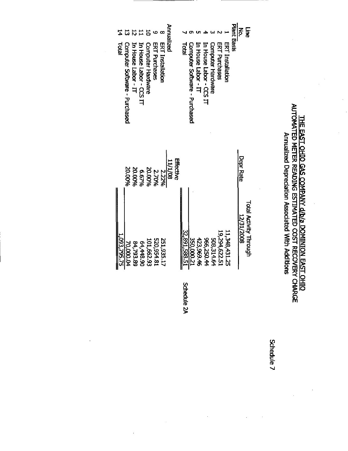### THE EAST OHIO GAS COMPANY d/b/a DOMINION EAST OHIO<br>AUTOMATED METER READING ESTIMATED COST RECOVERY CHARGE Annualized Depreciation Associated With Additions

 $\ddot{\phantom{0}}$ 

|             | 1,093,795.75                  |                  | Total                         |                    |
|-------------|-------------------------------|------------------|-------------------------------|--------------------|
|             | 70,000.04                     | 20.00%           | Computer Software - Purchased |                    |
|             | 84,793.89                     | 20.00%           | In House Labor - IT           |                    |
|             | 64,448.90                     | 6.67%            | In House Labor - CCS IT       |                    |
|             | 101,662.93                    | 20.00%           | Computer Hardware             |                    |
|             | 18.439,054                    | 2.70%            | <b>ERT Purchases</b>          |                    |
|             | 251,935.17                    | 2.22%            | <b>ERT Installation</b>       |                    |
|             |                               | 11/1/08          |                               | Annualized         |
|             |                               | Effective        |                               |                    |
| Schedule 2A | 12,891,588.51                 |                  | Total                         |                    |
|             | 12000.021                     |                  | Computer Software - Purchased |                    |
|             | 423,969.46                    |                  | En House Labor - IT           |                    |
|             | 966,250.44                    |                  | In House Labor - CCS IT       |                    |
|             | 508,314.64                    |                  | Computer Hardware             |                    |
|             | 19,294,622.51                 |                  | <b>ERT Purchases</b>          |                    |
|             | 11,348,431.25                 |                  | <b>ERT Installation</b>       |                    |
|             |                               |                  |                               | <b>Plant Basis</b> |
|             | 8002/1927                     | <b>Depr Rate</b> |                               |                    |
|             | <b>Total Activity Through</b> |                  |                               | ្ត<br>វិ           |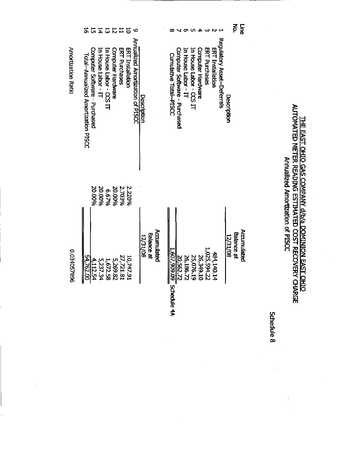|                    | 5                                    | 뉴                             |                     | $\frac{1}{4}$           | $\overline{5}$    | $\overline{1}$ | $\overline{5}$   | <b>O</b>                         |                                                     |                                           |                               |                     |                         |                          |               |                  |                            |             | ξ.                | <b>Erne</b> |            |                                  |
|--------------------|--------------------------------------|-------------------------------|---------------------|-------------------------|-------------------|----------------|------------------|----------------------------------|-----------------------------------------------------|-------------------------------------------|-------------------------------|---------------------|-------------------------|--------------------------|---------------|------------------|----------------------------|-------------|-------------------|-------------|------------|----------------------------------|
| Amortization Ratio | Total--Annualized Amortization PISCC | Computer Software - Purchased | In House Labor - IT | In House Labor - CCS IT | Computer Hardware | ERT Purchases  | ERI Installation | Anrualized Amortization of PISCC | Description                                         | Cumulative Total--PISCC                   | Computer Software - Purchased | In House Labor - IT | In House Labor - CCS IT | <b>Computer Hardware</b> | ERT Purchases | ERT Installation | Regulatory Asset-Deferrals | Description |                   |             |            |                                  |
|                    |                                      | 20.00%                        | 20.00%              | 6.67%                   | 20.00%            | 2.703%         | 2.220%           |                                  |                                                     |                                           |                               |                     |                         |                          |               |                  |                            |             |                   |             |            | Annualized Amortization of PISCC |
| 0.034057896        | 54,762.00                            | $\frac{4.112.54}{112.54}$     | 5,237.34            | 1,672.58                | 5,269.82          | 27,721.81      | 10,747.91        |                                  | <b>Accumulated</b><br><b>Balance at</b><br>12/31/08 | 1,607,909.09<br>$\frac{1}{2}$ Schedule 4A | 20,562.72                     | 26,186.72           | 25,076.19               | DT'6+E'9Z                | 1,025,594.22  | 484,140.14       |                            | 12/31/08    | <b>Balance at</b> | Accumulated | Schedule 8 |                                  |
|                    |                                      |                               |                     |                         |                   |                |                  |                                  |                                                     |                                           |                               |                     |                         |                          |               |                  |                            |             |                   |             |            |                                  |

THE EAST OHIC GAS COMPANY d/b/a DOMINION EAST OHIC<br>AUTOMATED METER READING ESTIMATED COST RECOVERY CHARGE

 $\ddot{\phantom{0}}$ 

 $\frac{1}{2}$ 

 $\frac{1}{2}$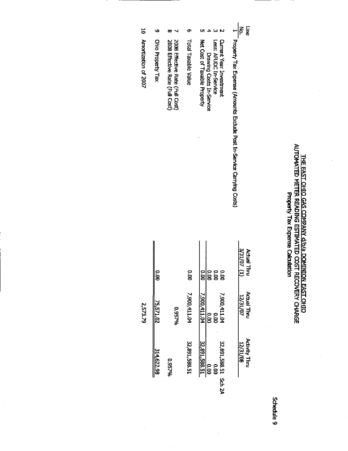| CHOMATED AFTER READING ESTIMATED COST RECOVERY OF ARGO<br>Property Tax Expense Calculation | THE EAST OHIO GAS COMPANY d/b/a DOMINION EAST OHIO |
|--------------------------------------------------------------------------------------------|----------------------------------------------------|
|--------------------------------------------------------------------------------------------|----------------------------------------------------|

|  | ۰ |
|--|---|
|  |   |
|  |   |

| $\overline{5}$       |                   |                                                                    |                     | Line                                                                                                                                                                                                   |  |
|----------------------|-------------------|--------------------------------------------------------------------|---------------------|--------------------------------------------------------------------------------------------------------------------------------------------------------------------------------------------------------|--|
| Amortization of 2007 | Ohio Property Tax | 2008 Effective Rate (Full Cost)<br>2008 Effective Rate (Full Cost) | Total Taxable Value | 1 Property Tax Expense (Afrounts Exclude Post In-Service Carrying Costs)<br>Net Cost of Taxable Property<br><b>Current Year Investment</b><br><b>Less: ARDC In-Service</b><br>Drawing Costs In-Service |  |
|                      | g                 |                                                                    | $\frac{1}{2}$       | 3/31/07 (1)<br><b>Actual Thru</b><br><b>0.00</b><br>3<br>8<br>8                                                                                                                                        |  |
| 2.573.79             | 75,571,02         | 9677%                                                              | 7,900,411.04        | Actual Thru<br>7,900,411.04<br>7,900,411.0-<br><b>ZV31/07</b><br>$\frac{1}{2}$<br>o.oo                                                                                                                 |  |
|                      | 314 622 98        | %256'0                                                             | 32,891,588.51       | <b>Activity Thru</b><br>12,891,588.51<br>12/31/08<br>22,891,588.51<br>$\frac{1}{2}$<br><b>00.00</b>                                                                                                    |  |
|                      |                   |                                                                    |                     | Sch 2A                                                                                                                                                                                                 |  |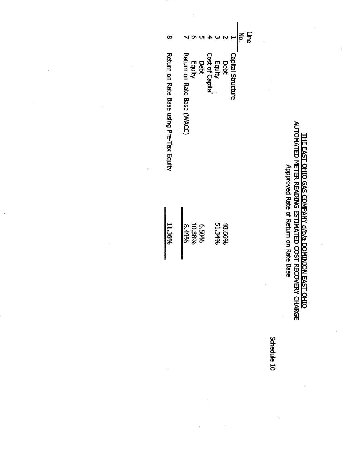# T<u>HE EAST CHIO GAS COMPANY d/b/a DOMINION EAST CHIO</u><br>AUTOMATED METER READING ESTIMATED COST RECOVERY CHARGE<br>ADDOMATED METER READING ESTIMATED COST RECOVERY CHARGE

| α<br>Return on Rate Base using Pre-Tax mality | Equity<br>Return on Rate Base (WACC) |        |              | Cost of Capital<br>Debt | Equity | Debt   | Capital Structure | $ \vec{5} $ | <b>Fire</b> |  |
|-----------------------------------------------|--------------------------------------|--------|--------------|-------------------------|--------|--------|-------------------|-------------|-------------|--|
| 11.36%                                        | 8.49%                                | 10.38% | <b>6.50%</b> |                         | 51.34% | 48.66% |                   |             |             |  |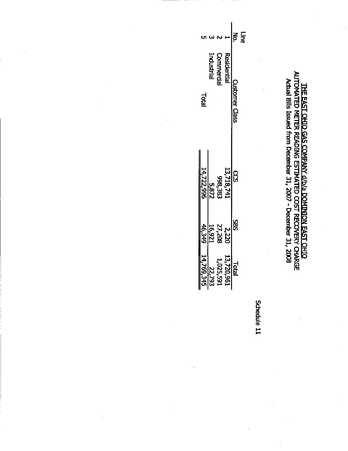THE EAST OHIO GAS COMPANY d/b/a DOMINION EAST OHIO<br>AUTOMATED METER READING ESTIMATED COST RECOVERY CHARGE<br>AUTOMATED METER READING ESTIMATED COST RECOVERY CHARGE

|                         |                                 |                                                                                                                                                                                                                                                                                                                                                                                                                                                                                                                                    |               | <u>는</u> 은 |
|-------------------------|---------------------------------|------------------------------------------------------------------------------------------------------------------------------------------------------------------------------------------------------------------------------------------------------------------------------------------------------------------------------------------------------------------------------------------------------------------------------------------------------------------------------------------------------------------------------------|---------------|------------|
| ದ<br>ವಿ                 | <b>Commercial</b><br>Industrial | Residentia                                                                                                                                                                                                                                                                                                                                                                                                                                                                                                                         | Tustomer Clas |            |
| 5,872<br>14,722,996     |                                 | $\frac{13,781}{187,817,61}$                                                                                                                                                                                                                                                                                                                                                                                                                                                                                                        |               |            |
| $\frac{15.921}{46,349}$ | 2,220<br>27,208                 |                                                                                                                                                                                                                                                                                                                                                                                                                                                                                                                                    | 88            |            |
|                         |                                 | $\begin{array}{r l} \multicolumn{1}{r}{\text{Total}} \\ \hline 13720,961 \\ \multicolumn{1}{r}{\text{Total}} \\ \multicolumn{1}{r}{\text{Total}} \\ \multicolumn{1}{r}{\text{Total}} \\ \multicolumn{1}{r}{\text{Total}} \\ \multicolumn{1}{r}{\text{Total}} \\ \multicolumn{1}{r}{\text{Total}} \\ \multicolumn{1}{r}{\text{Total}} \\ \multicolumn{1}{r}{\text{Total}} \\ \multicolumn{1}{r}{\text{Total}} \\ \multicolumn{1}{r}{\text{Total}} \\ \multicolumn{1}{r}{\text{Total}} \\ \multicolumn{1}{r}{\text{Total}} \\ \mult$ |               |            |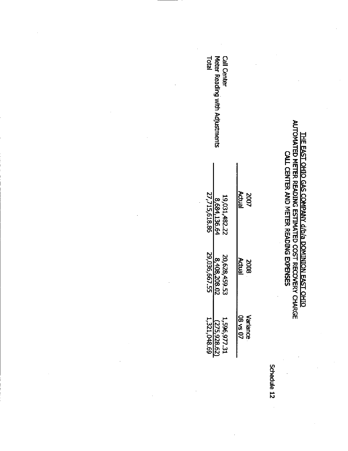# T<u>HE EAST OHIO GAS COMPANY d/b/a DOMINION EAST OHIO</u><br>AUTOMATED METER READING ESTIMATED COST RECOVERY CHARGE<br>CALL CENTER AND METER READING EXPENSES

| Call Center<br>Tatal<br>Meter Reading with Adjustments |                             |
|--------------------------------------------------------|-----------------------------|
| 27,715,618.86<br>19,031,482.22<br>8,684,136.6<         | Actual<br>2007              |
| 29,036,667.55<br>20,628,459 5:<br>8, 408, 208.02       | Actual<br><b>SOOS</b>       |
| 1,321,048.69<br>-,596,977.31<br>(275,928.62            | <b>20 SA 80</b><br>Variance |